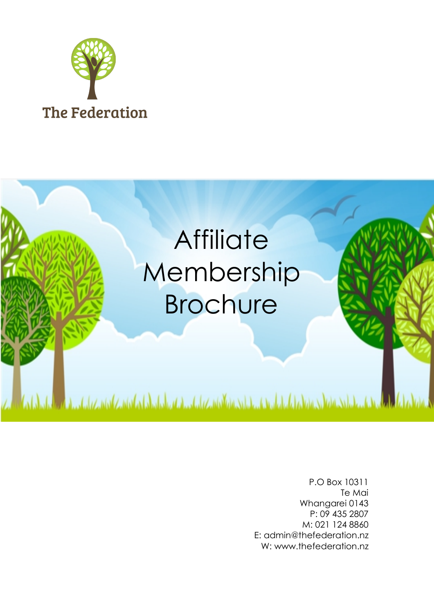



P.O Box 10311 Te Mai Whangarei 0143 P: 09 435 2807 M: 021 124 8860 E: admin@thefederation.nz W: www.thefederation.nz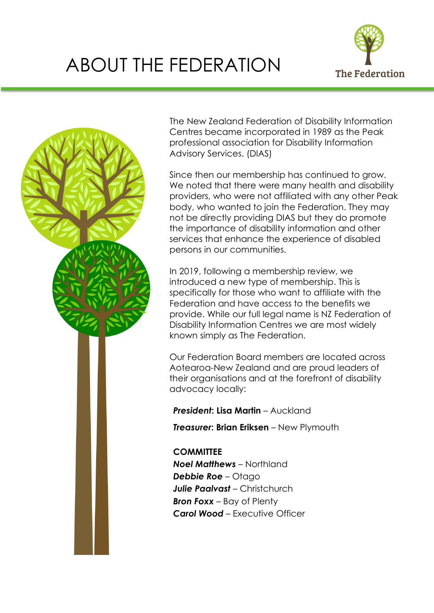## ABOUT THE FEDERATION





The New Zealand Federation of Disability Information Centres became incorporated in 1989 as the Peak professional association for Disability Information Advisory Services. (DIAS)

Since then our membership has continued to grow. We noted that there were many health and disability providers, who were not affiliated with any other Peak body, who wanted to join the Federation. They may not be directly providing DIAS but they do promote the importance of disability information and other services that enhance the experience of disabled persons in our communities.

In 2019, following a membership review, we introduced a new type of membership. This is specifically for those who want to affiliate with the Federation and have access to the benefits we provide. While our full legal name is NZ Federation of Disability Information Centres we are most widely known simply as The Federation.

Our Federation Board members are located across Aotearoa-New Zealand and are proud leaders of their organisations and at the forefront of disability advocacy locally:

*President***: Lisa Martin** – Auckland

*Treasurer***: Brian Eriksen** – New Plymouth

**COMMITTEE** *Noel Matthews* – Northland *Debbie Roe* – Otago *Julie Paalvast* – Christchurch *Bron Foxx* – Bay of Plenty *Carol Wood* – Executive Officer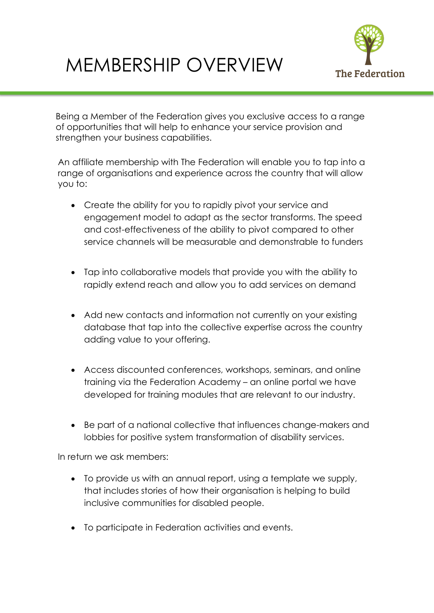## MEMBERSHIP OVERVIEW



Being a Member of the Federation gives you exclusive access to a range of opportunities that will help to enhance your service provision and strengthen your business capabilities.

An affiliate membership with The Federation will enable you to tap into a range of organisations and experience across the country that will allow you to:

- Create the ability for you to rapidly pivot your service and engagement model to adapt as the sector transforms. The speed and cost-effectiveness of the ability to pivot compared to other service channels will be measurable and demonstrable to funders
- Tap into collaborative models that provide you with the ability to rapidly extend reach and allow you to add services on demand
- Add new contacts and information not currently on your existing database that tap into the collective expertise across the country adding value to your offering.
- Access discounted conferences, workshops, seminars, and online training via the Federation Academy – an online portal we have developed for training modules that are relevant to our industry.
- Be part of a national collective that influences change-makers and lobbies for positive system transformation of disability services.

In return we ask members:

- To provide us with an annual report, using a template we supply, that includes stories of how their organisation is helping to build inclusive communities for disabled people.
- To participate in Federation activities and events.